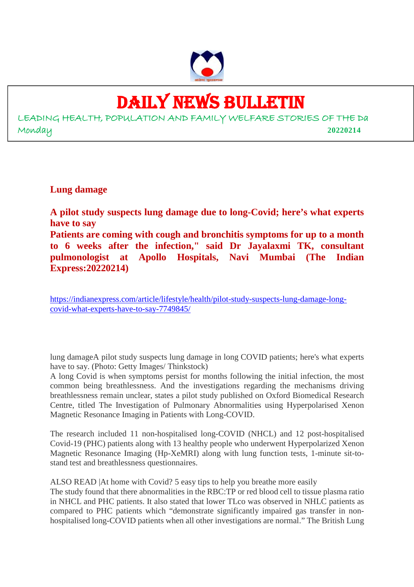

# DAILY NEWS BULLETIN

LEADING HEALTH, POPULATION AND FAMILY WELFARE STORIES OF THE Da Monday **20220214**

**Lung damage**

**A pilot study suspects lung damage due to long-Covid; here's what experts have to say**

**Patients are coming with cough and bronchitis symptoms for up to a month to 6 weeks after the infection," said Dr Jayalaxmi TK, consultant pulmonologist at Apollo Hospitals, Navi Mumbai (The Indian Express:20220214)**

https://indianexpress.com/article/lifestyle/health/pilot-study-suspects-lung-damage-longcovid-what-experts-have-to-say-7749845/

lung damageA pilot study suspects lung damage in long COVID patients; here's what experts have to say. (Photo: Getty Images/ Thinkstock)

A long Covid is when symptoms persist for months following the initial infection, the most common being breathlessness. And the investigations regarding the mechanisms driving breathlessness remain unclear, states a pilot study published on Oxford Biomedical Research Centre, titled The Investigation of Pulmonary Abnormalities using Hyperpolarised Xenon Magnetic Resonance Imaging in Patients with Long-COVID.

The research included 11 non-hospitalised long-COVID (NHCL) and 12 post-hospitalised Covid-19 (PHC) patients along with 13 healthy people who underwent Hyperpolarized Xenon Magnetic Resonance Imaging (Hp-XeMRI) along with lung function tests, 1-minute sit-tostand test and breathlessness questionnaires.

ALSO READ |At home with Covid? 5 easy tips to help you breathe more easily

The study found that there abnormalities in the RBC:TP or red blood cell to tissue plasma ratio in NHCL and PHC patients. It also stated that lower TLco was observed in NHLC patients as compared to PHC patients which "demonstrate significantly impaired gas transfer in nonhospitalised long-COVID patients when all other investigations are normal." The British Lung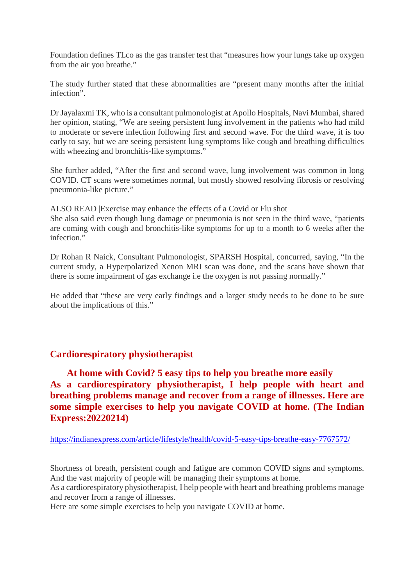Foundation defines TLco as the gas transfer test that "measures how your lungs take up oxygen from the air you breathe."

The study further stated that these abnormalities are "present many months after the initial infection".

Dr Jayalaxmi TK, who is a consultant pulmonologist at Apollo Hospitals, Navi Mumbai, shared her opinion, stating, "We are seeing persistent lung involvement in the patients who had mild to moderate or severe infection following first and second wave. For the third wave, it is too early to say, but we are seeing persistent lung symptoms like cough and breathing difficulties with wheezing and bronchitis-like symptoms."

She further added, "After the first and second wave, lung involvement was common in long COVID. CT scans were sometimes normal, but mostly showed resolving fibrosis or resolving pneumonia-like picture."

ALSO READ |Exercise may enhance the effects of a Covid or Flu shot She also said even though lung damage or pneumonia is not seen in the third wave, "patients are coming with cough and bronchitis-like symptoms for up to a month to 6 weeks after the

infection." Dr Rohan R Naick, Consultant Pulmonologist, SPARSH Hospital, concurred, saying, "In the

current study, a Hyperpolarized Xenon MRI scan was done, and the scans have shown that there is some impairment of gas exchange i.e the oxygen is not passing normally."

He added that "these are very early findings and a larger study needs to be done to be sure about the implications of this."

#### **Cardiorespiratory physiotherapist**

**At home with Covid? 5 easy tips to help you breathe more easily As a cardiorespiratory physiotherapist, I help people with heart and breathing problems manage and recover from a range of illnesses. Here are some simple exercises to help you navigate COVID at home. (The Indian Express:20220214)**

https://indianexpress.com/article/lifestyle/health/covid-5-easy-tips-breathe-easy-7767572/

Shortness of breath, persistent cough and fatigue are common COVID signs and symptoms. And the vast majority of people will be managing their symptoms at home.

As a cardiorespiratory physiotherapist, I help people with heart and breathing problems manage and recover from a range of illnesses.

Here are some simple exercises to help you navigate COVID at home.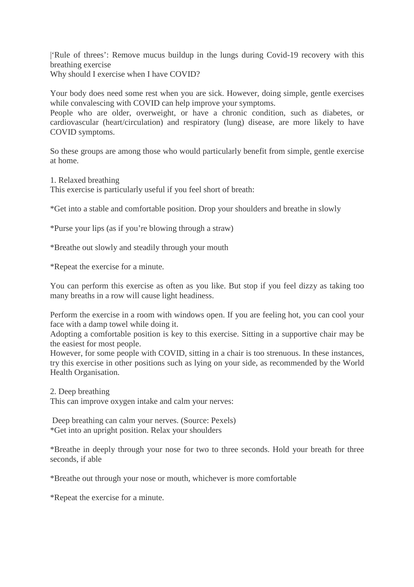|'Rule of threes': Remove mucus buildup in the lungs during Covid-19 recovery with this breathing exercise

Why should I exercise when I have COVID?

Your body does need some rest when you are sick. However, doing simple, gentle exercises while convalescing with COVID can help improve your symptoms.

People who are older, overweight, or have a chronic condition, such as diabetes, or cardiovascular (heart/circulation) and respiratory (lung) disease, are more likely to have COVID symptoms.

So these groups are among those who would particularly benefit from simple, gentle exercise at home.

1. Relaxed breathing

This exercise is particularly useful if you feel short of breath:

\*Get into a stable and comfortable position. Drop your shoulders and breathe in slowly

\*Purse your lips (as if you're blowing through a straw)

\*Breathe out slowly and steadily through your mouth

\*Repeat the exercise for a minute.

You can perform this exercise as often as you like. But stop if you feel dizzy as taking too many breaths in a row will cause light headiness.

Perform the exercise in a room with windows open. If you are feeling hot, you can cool your face with a damp towel while doing it.

Adopting a comfortable position is key to this exercise. Sitting in a supportive chair may be the easiest for most people.

However, for some people with COVID, sitting in a chair is too strenuous. In these instances, try this exercise in other positions such as lying on your side, as recommended by the World Health Organisation.

2. Deep breathing This can improve oxygen intake and calm your nerves:

Deep breathing can calm your nerves. (Source: Pexels) \*Get into an upright position. Relax your shoulders

\*Breathe in deeply through your nose for two to three seconds. Hold your breath for three seconds, if able

\*Breathe out through your nose or mouth, whichever is more comfortable

\*Repeat the exercise for a minute.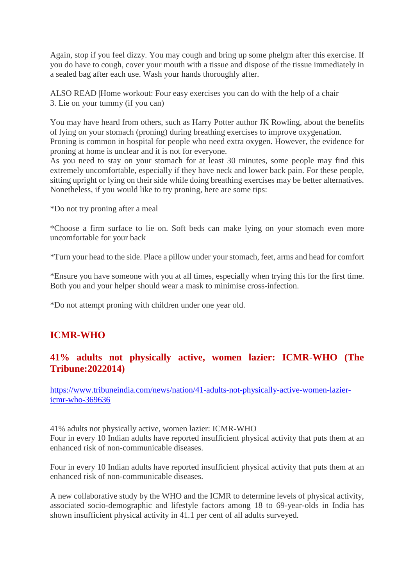Again, stop if you feel dizzy. You may cough and bring up some phelgm after this exercise. If you do have to cough, cover your mouth with a tissue and dispose of the tissue immediately in a sealed bag after each use. Wash your hands thoroughly after.

ALSO READ |Home workout: Four easy exercises you can do with the help of a chair 3. Lie on your tummy (if you can)

You may have heard from others, such as Harry Potter author JK Rowling, about the benefits of lying on your stomach (proning) during breathing exercises to improve oxygenation. Proning is common in hospital for people who need extra oxygen. However, the evidence for proning at home is unclear and it is not for everyone.

As you need to stay on your stomach for at least 30 minutes, some people may find this extremely uncomfortable, especially if they have neck and lower back pain. For these people, sitting upright or lying on their side while doing breathing exercises may be better alternatives. Nonetheless, if you would like to try proning, here are some tips:

\*Do not try proning after a meal

\*Choose a firm surface to lie on. Soft beds can make lying on your stomach even more uncomfortable for your back

\*Turn your head to the side. Place a pillow under your stomach, feet, arms and head for comfort

\*Ensure you have someone with you at all times, especially when trying this for the first time. Both you and your helper should wear a mask to minimise cross-infection.

\*Do not attempt proning with children under one year old.

#### **ICMR-WHO**

#### **41% adults not physically active, women lazier: ICMR-WHO (The Tribune:2022014)**

https://www.tribuneindia.com/news/nation/41-adults-not-physically-active-women-laziericmr-who-369636

41% adults not physically active, women lazier: ICMR-WHO Four in every 10 Indian adults have reported insufficient physical activity that puts them at an enhanced risk of non-communicable diseases.

Four in every 10 Indian adults have reported insufficient physical activity that puts them at an enhanced risk of non-communicable diseases.

A new collaborative study by the WHO and the ICMR to determine levels of physical activity, associated socio-demographic and lifestyle factors among 18 to 69-year-olds in India has shown insufficient physical activity in 41.1 per cent of all adults surveyed.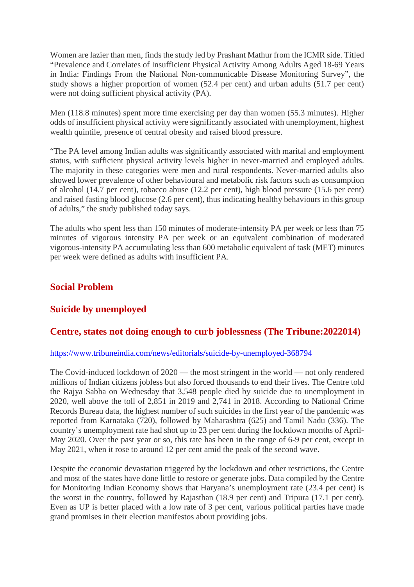Women are lazier than men, finds the study led by Prashant Mathur from the ICMR side. Titled "Prevalence and Correlates of Insufficient Physical Activity Among Adults Aged 18-69 Years in India: Findings From the National Non-communicable Disease Monitoring Survey", the study shows a higher proportion of women (52.4 per cent) and urban adults (51.7 per cent) were not doing sufficient physical activity (PA).

Men (118.8 minutes) spent more time exercising per day than women (55.3 minutes). Higher odds of insufficient physical activity were significantly associated with unemployment, highest wealth quintile, presence of central obesity and raised blood pressure.

"The PA level among Indian adults was significantly associated with marital and employment status, with sufficient physical activity levels higher in never-married and employed adults. The majority in these categories were men and rural respondents. Never-married adults also showed lower prevalence of other behavioural and metabolic risk factors such as consumption of alcohol (14.7 per cent), tobacco abuse (12.2 per cent), high blood pressure (15.6 per cent) and raised fasting blood glucose (2.6 per cent), thus indicating healthy behaviours in this group of adults," the study published today says.

The adults who spent less than 150 minutes of moderate-intensity PA per week or less than 75 minutes of vigorous intensity PA per week or an equivalent combination of moderated vigorous-intensity PA accumulating less than 600 metabolic equivalent of task (MET) minutes per week were defined as adults with insufficient PA.

#### **Social Problem**

#### **Suicide by unemployed**

#### **Centre, states not doing enough to curb joblessness (The Tribune:2022014)**

#### https://www.tribuneindia.com/news/editorials/suicide-by-unemployed-368794

The Covid-induced lockdown of 2020 — the most stringent in the world — not only rendered millions of Indian citizens jobless but also forced thousands to end their lives. The Centre told the Rajya Sabha on Wednesday that 3,548 people died by suicide due to unemployment in 2020, well above the toll of 2,851 in 2019 and 2,741 in 2018. According to National Crime Records Bureau data, the highest number of such suicides in the first year of the pandemic was reported from Karnataka (720), followed by Maharashtra (625) and Tamil Nadu (336). The country's unemployment rate had shot up to 23 per cent during the lockdown months of April-May 2020. Over the past year or so, this rate has been in the range of 6-9 per cent, except in May 2021, when it rose to around 12 per cent amid the peak of the second wave.

Despite the economic devastation triggered by the lockdown and other restrictions, the Centre and most of the states have done little to restore or generate jobs. Data compiled by the Centre for Monitoring Indian Economy shows that Haryana's unemployment rate (23.4 per cent) is the worst in the country, followed by Rajasthan (18.9 per cent) and Tripura (17.1 per cent). Even as UP is better placed with a low rate of 3 per cent, various political parties have made grand promises in their election manifestos about providing jobs.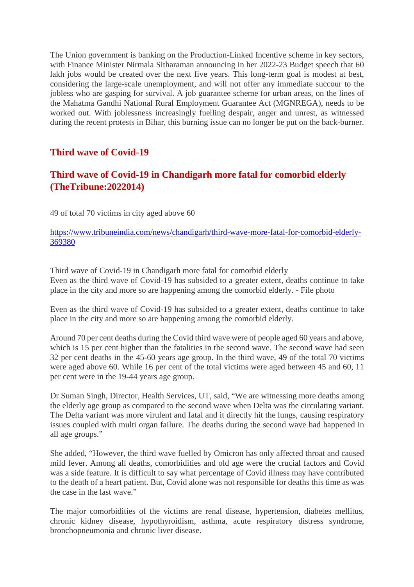The Union government is banking on the Production-Linked Incentive scheme in key sectors, with Finance Minister Nirmala Sitharaman announcing in her 2022-23 Budget speech that 60 lakh jobs would be created over the next five years. This long-term goal is modest at best, considering the large-scale unemployment, and will not offer any immediate succour to the jobless who are gasping for survival. A job guarantee scheme for urban areas, on the lines of the Mahatma Gandhi National Rural Employment Guarantee Act (MGNREGA), needs to be worked out. With joblessness increasingly fuelling despair, anger and unrest, as witnessed during the recent protests in Bihar, this burning issue can no longer be put on the back-burner.

#### **Third wave of Covid-19**

#### **Third wave of Covid-19 in Chandigarh more fatal for comorbid elderly (TheTribune:2022014)**

49 of total 70 victims in city aged above 60

https://www.tribuneindia.com/news/chandigarh/third-wave-more-fatal-for-comorbid-elderly-369380

Third wave of Covid-19 in Chandigarh more fatal for comorbid elderly Even as the third wave of Covid-19 has subsided to a greater extent, deaths continue to take place in the city and more so are happening among the comorbid elderly. - File photo

Even as the third wave of Covid-19 has subsided to a greater extent, deaths continue to take place in the city and more so are happening among the comorbid elderly.

Around 70 per cent deaths during the Covid third wave were of people aged 60 years and above, which is 15 per cent higher than the fatalities in the second wave. The second wave had seen 32 per cent deaths in the 45-60 years age group. In the third wave, 49 of the total 70 victims were aged above 60. While 16 per cent of the total victims were aged between 45 and 60, 11 per cent were in the 19-44 years age group.

Dr Suman Singh, Director, Health Services, UT, said, "We are witnessing more deaths among the elderly age group as compared to the second wave when Delta was the circulating variant. The Delta variant was more virulent and fatal and it directly hit the lungs, causing respiratory issues coupled with multi organ failure. The deaths during the second wave had happened in all age groups."

She added, "However, the third wave fuelled by Omicron has only affected throat and caused mild fever. Among all deaths, comorbidities and old age were the crucial factors and Covid was a side feature. It is difficult to say what percentage of Covid illness may have contributed to the death of a heart patient. But, Covid alone was not responsible for deaths this time as was the case in the last wave."

The major comorbidities of the victims are renal disease, hypertension, diabetes mellitus, chronic kidney disease, hypothyroidism, asthma, acute respiratory distress syndrome, bronchopneumonia and chronic liver disease.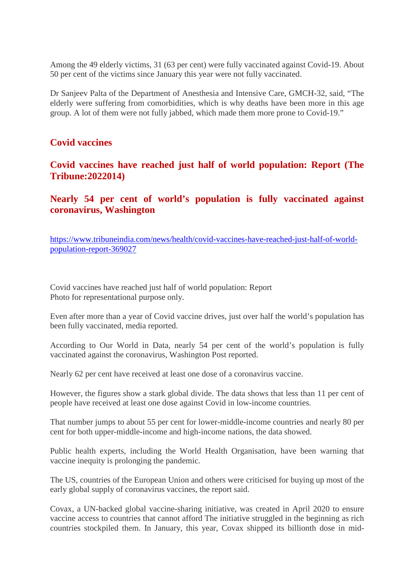Among the 49 elderly victims, 31 (63 per cent) were fully vaccinated against Covid-19. About 50 per cent of the victims since January this year were not fully vaccinated.

Dr Sanjeev Palta of the Department of Anesthesia and Intensive Care, GMCH-32, said, "The elderly were suffering from comorbidities, which is why deaths have been more in this age group. A lot of them were not fully jabbed, which made them more prone to Covid-19."

#### **Covid vaccines**

**Covid vaccines have reached just half of world population: Report (The Tribune:2022014)**

#### **Nearly 54 per cent of world's population is fully vaccinated against coronavirus, Washington**

https://www.tribuneindia.com/news/health/covid-vaccines-have-reached-just-half-of-worldpopulation-report-369027

Covid vaccines have reached just half of world population: Report Photo for representational purpose only.

Even after more than a year of Covid vaccine drives, just over half the world's population has been fully vaccinated, media reported.

According to Our World in Data, nearly 54 per cent of the world's population is fully vaccinated against the coronavirus, Washington Post reported.

Nearly 62 per cent have received at least one dose of a coronavirus vaccine.

However, the figures show a stark global divide. The data shows that less than 11 per cent of people have received at least one dose against Covid in low-income countries.

That number jumps to about 55 per cent for lower-middle-income countries and nearly 80 per cent for both upper-middle-income and high-income nations, the data showed.

Public health experts, including the World Health Organisation, have been warning that vaccine inequity is prolonging the pandemic.

The US, countries of the European Union and others were criticised for buying up most of the early global supply of coronavirus vaccines, the report said.

Covax, a UN-backed global vaccine-sharing initiative, was created in April 2020 to ensure vaccine access to countries that cannot afford The initiative struggled in the beginning as rich countries stockpiled them. In January, this year, Covax shipped its billionth dose in mid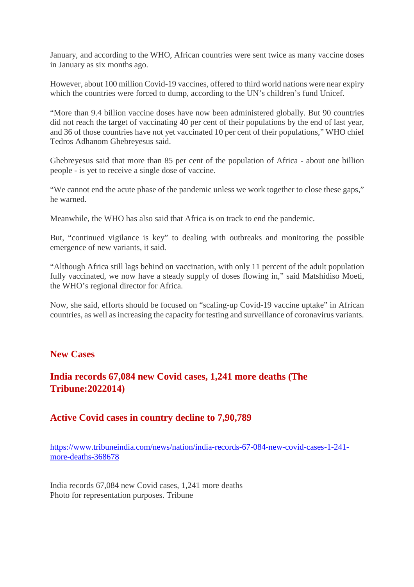January, and according to the WHO, African countries were sent twice as many vaccine doses in January as six months ago.

However, about 100 million Covid-19 vaccines, offered to third world nations were near expiry which the countries were forced to dump, according to the UN's children's fund Unicef.

"More than 9.4 billion vaccine doses have now been administered globally. But 90 countries did not reach the target of vaccinating 40 per cent of their populations by the end of last year, and 36 of those countries have not yet vaccinated 10 per cent of their populations," WHO chief Tedros Adhanom Ghebreyesus said.

Ghebreyesus said that more than 85 per cent of the population of Africa - about one billion people - is yet to receive a single dose of vaccine.

"We cannot end the acute phase of the pandemic unless we work together to close these gaps," he warned.

Meanwhile, the WHO has also said that Africa is on track to end the pandemic.

But, "continued vigilance is key" to dealing with outbreaks and monitoring the possible emergence of new variants, it said.

"Although Africa still lags behind on vaccination, with only 11 percent of the adult population fully vaccinated, we now have a steady supply of doses flowing in," said Matshidiso Moeti, the WHO's regional director for Africa.

Now, she said, efforts should be focused on "scaling-up Covid-19 vaccine uptake" in African countries, as well as increasing the capacity for testing and surveillance of coronavirus variants.

#### **New Cases**

#### **India records 67,084 new Covid cases, 1,241 more deaths (The Tribune:2022014)**

#### **Active Covid cases in country decline to 7,90,789**

https://www.tribuneindia.com/news/nation/india-records-67-084-new-covid-cases-1-241 more-deaths-368678

India records 67,084 new Covid cases, 1,241 more deaths Photo for representation purposes. Tribune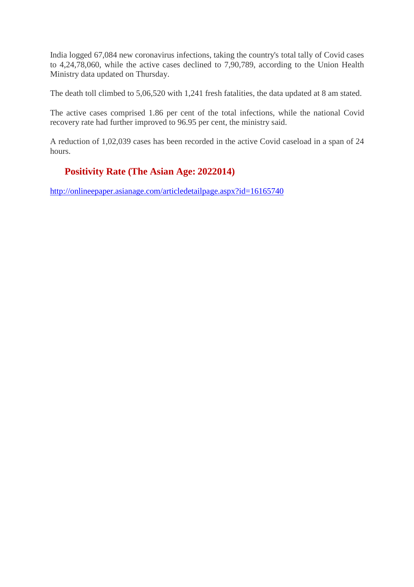India logged 67,084 new coronavirus infections, taking the country's total tally of Covid cases to 4,24,78,060, while the active cases declined to 7,90,789, according to the Union Health Ministry data updated on Thursday.

The death toll climbed to 5,06,520 with 1,241 fresh fatalities, the data updated at 8 am stated.

The active cases comprised 1.86 per cent of the total infections, while the national Covid recovery rate had further improved to 96.95 per cent, the ministry said.

A reduction of 1,02,039 cases has been recorded in the active Covid caseload in a span of 24 hours.

### **Positivity Rate (The Asian Age: 2022014)**

http://onlineepaper.asianage.com/articledetailpage.aspx?id=16165740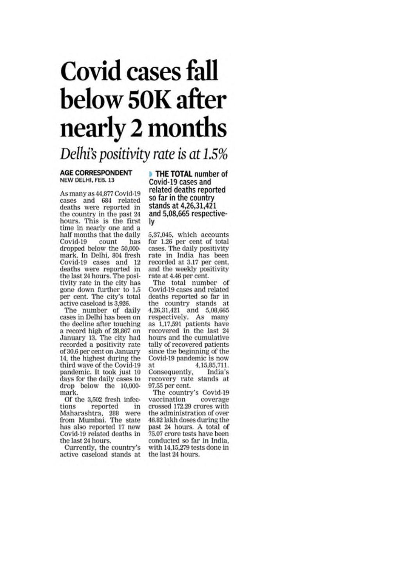# Covid cases fall below 50K after nearly 2 months

Delhi's positivity rate is at 1.5%

#### **AGE CORRESPONDENT** NEW DELHI, FEB. 13

As many as 44,877 Covid-19 cases and 684 related deaths were reported in the country in the past 24 hours. This is the first time in nearly one and a half months that the daily Covid-19 count has dropped below the 50,000mark. In Delhi, 804 fresh Covid-19 cases and 12<br>deaths were reported in the last 24 hours. The positivity rate in the city has gone down further to 1.5 per cent. The city's total active caseload is 3,926.

The number of daily cases in Delhi has been on the decline after touching a record high of 28,867 on January 13. The city had recorded a positivity rate of 30.6 per cent on January 14, the highest during the third wave of the Covid-19 pandemic. It took just 10 days for the daily cases to drop below the 10,000mark.

Of the 3,502 fresh infections reported in Maharashtra, 288 were from Mumbai. The state has also reported 17 new Covid-19 related deaths in the last 24 hours.

Currently, the country's active caseload stands at

THE TOTAL number of Covid-19 cases and related deaths reported so far in the country stands at 4,26,31,421 and 5,08,665 respectivel٧

5,37,045, which accounts<br>for 1.26 per cent of total cases. The daily positivity rate in India has been recorded at 3.17 per cent, and the weekly positivity rate at 4.46 per cent.

The total number of Covid-19 cases and related deaths reported so far in the country stands at 4,26,31,421 and 5,08,665 respectively. As many<br>as 1,17,591 patients have recovered in the last 24 hours and the cumulative tally of recovered patients since the beginning of the Covid-19 pandemic is now at 4, 15, 85, 711. Consequently, India's recovery rate stands at 97.55 per cent.

The country's Covid-19 vaccination coverage crossed 172.29 crores with the administration of over 46.82 lakh doses during the past 24 hours. A total of 75.07 crore tests have been conducted so far in India. with 14,15,279 tests done in the last 24 hours.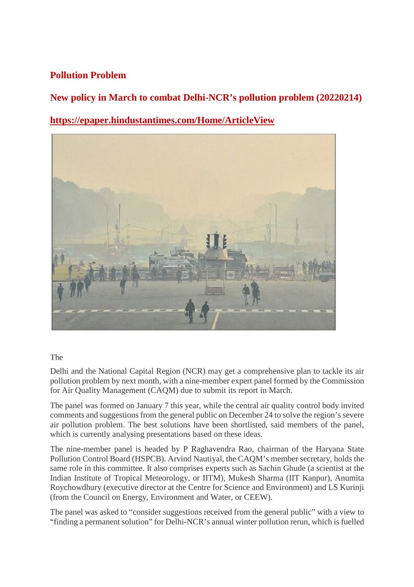#### **Pollution Problem**

**New policy in March to combat Delhi-NCR's pollution problem (20220214)**

**https://epaper.hindustantimes.com/Home/ArticleView**



#### The

Delhi and the National Capital Region (NCR) may get a comprehensive plan to tackle its air pollution problem by next month, with a nine-member expert panel formed by the Commission for Air Quality Management (CAQM) due to submit its report in March.

The panel was formed on January 7 this year, while the central air quality control body invited comments and suggestions from the general public on December 24 to solve the region's severe air pollution problem. The best solutions have been shortlisted, said members of the panel, which is currently analysing presentations based on these ideas.

The nine-member panel is headed by P Raghavendra Rao, chairman of the Haryana State Pollution Control Board (HSPCB). Arvind Nautiyal, the CAQM's member secretary, holds the same role in this committee. It also comprises experts such as Sachin Ghude (a scientist at the Indian Institute of Tropical Meteorology, or IITM), Mukesh Sharma (IIT Kanpur), Anumita Roychowdhury (executive director at the Centre for Science and Environment) and LS Kurinji (from the Council on Energy, Environment and Water, or CEEW).

The panel was asked to "consider suggestions received from the general public" with a view to "finding a permanent solution" for Delhi-NCR's annual winter pollution rerun, which is fuelled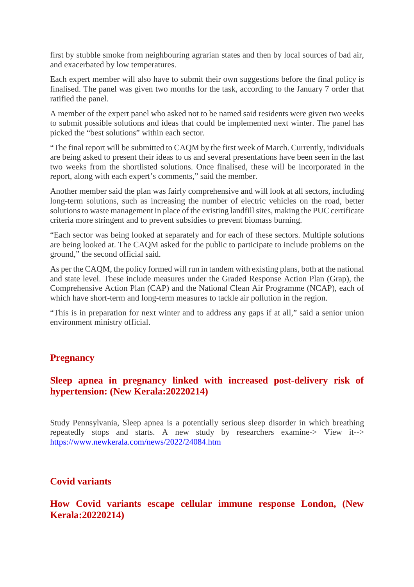first by stubble smoke from neighbouring agrarian states and then by local sources of bad air, and exacerbated by low temperatures.

Each expert member will also have to submit their own suggestions before the final policy is finalised. The panel was given two months for the task, according to the January 7 order that ratified the panel.

A member of the expert panel who asked not to be named said residents were given two weeks to submit possible solutions and ideas that could be implemented next winter. The panel has picked the "best solutions" within each sector.

"The final report will be submitted to CAQM by the first week of March. Currently, individuals are being asked to present their ideas to us and several presentations have been seen in the last two weeks from the shortlisted solutions. Once finalised, these will be incorporated in the report, along with each expert's comments," said the member.

Another member said the plan was fairly comprehensive and will look at all sectors, including long-term solutions, such as increasing the number of electric vehicles on the road, better solutions to waste management in place of the existing landfill sites, making the PUC certificate criteria more stringent and to prevent subsidies to prevent biomass burning.

"Each sector was being looked at separately and for each of these sectors. Multiple solutions are being looked at. The CAQM asked for the public to participate to include problems on the ground," the second official said.

As per the CAQM, the policy formed will run in tandem with existing plans, both at the national and state level. These include measures under the Graded Response Action Plan (Grap), the Comprehensive Action Plan (CAP) and the National Clean Air Programme (NCAP), each of which have short-term and long-term measures to tackle air pollution in the region.

"This is in preparation for next winter and to address any gaps if at all," said a senior union environment ministry official.

#### **Pregnancy**

#### **Sleep apnea in pregnancy linked with increased post-delivery risk of hypertension: (New Kerala:20220214)**

Study Pennsylvania, Sleep apnea is a potentially serious sleep disorder in which breathing repeatedly stops and starts. A new study by researchers examine-> View it--> https://www.newkerala.com/news/2022/24084.htm

#### **Covid variants**

#### **How Covid variants escape cellular immune response London, (New Kerala:20220214)**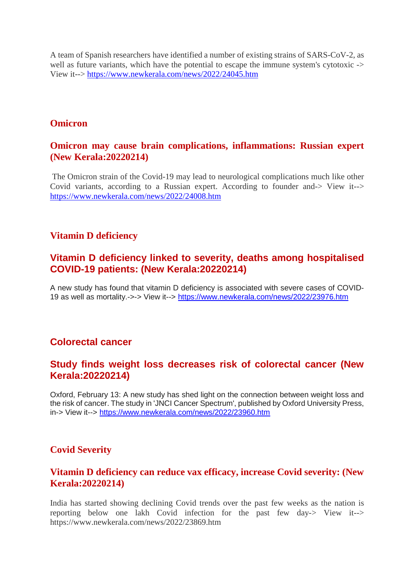A team of Spanish researchers have identified a number of existing strains of SARS-CoV-2, as well as future variants, which have the potential to escape the immune system's cytotoxic -> View it--> https://www.newkerala.com/news/2022/24045.htm

#### **Omicron**

#### **Omicron may cause brain complications, inflammations: Russian expert (New Kerala:20220214)**

The Omicron strain of the Covid-19 may lead to neurological complications much like other Covid variants, according to a Russian expert. According to founder and-> View it--> https://www.newkerala.com/news/2022/24008.htm

#### **Vitamin D deficiency**

#### **Vitamin D deficiency linked to severity, deaths among hospitalised COVID-19 patients: (New Kerala:20220214)**

A new study has found that vitamin D deficiency is associated with severe cases of COVID-19 as well as mortality.->-> View it--> https://www.newkerala.com/news/2022/23976.htm

#### **Colorectal cancer**

#### **Study finds weight loss decreases risk of colorectal cancer (New Kerala:20220214)**

Oxford, February 13: A new study has shed light on the connection between weight loss and the risk of cancer. The study in 'JNCI Cancer Spectrum', published by Oxford University Press, in-> View it--> https://www.newkerala.com/news/2022/23960.htm

#### **Covid Severity**

#### **Vitamin D deficiency can reduce vax efficacy, increase Covid severity: (New Kerala:20220214)**

India has started showing declining Covid trends over the past few weeks as the nation is reporting below one lakh Covid infection for the past few day-> View it--> https://www.newkerala.com/news/2022/23869.htm